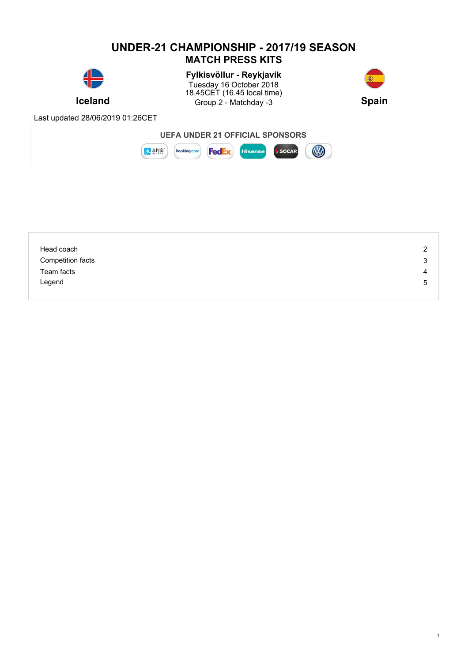## **UNDER-21 CHAMPIONSHIP - 2017/19 SEASON MATCH PRESS KITS**



**Iceland** Group 2 - Matchday -3 Spain **Fylkisvöllur - Reykjavik** Tuesday 16 October 2018 18.45CET (16.45 local time)



1

Last updated 28/06/2019 01:26CET



| Head coach               | 2 |
|--------------------------|---|
| <b>Competition facts</b> | 3 |
| Team facts               | 4 |
| Legend                   | 5 |
|                          |   |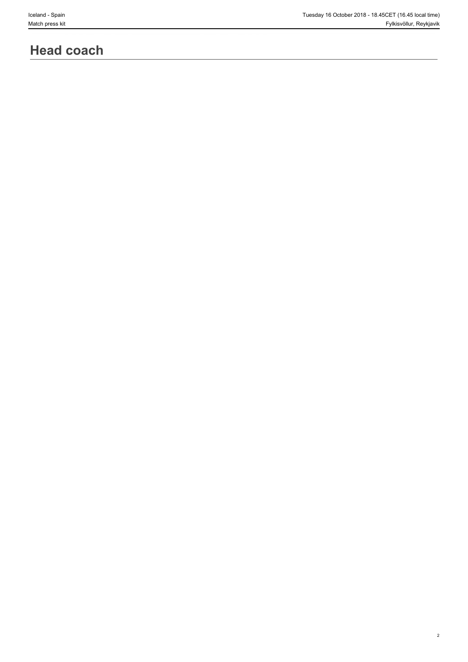# **Head coach**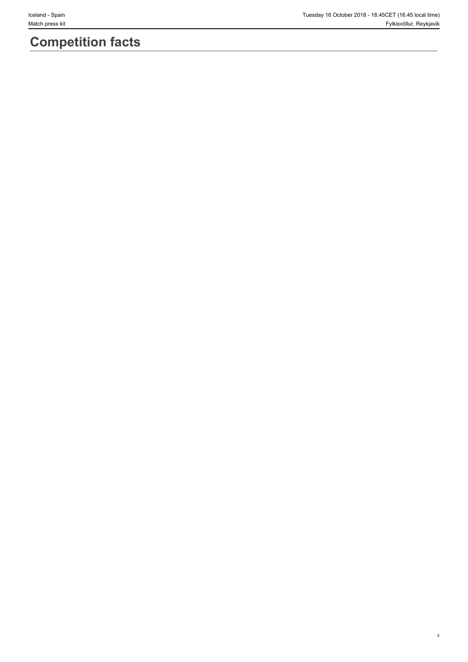3

# **Competition facts**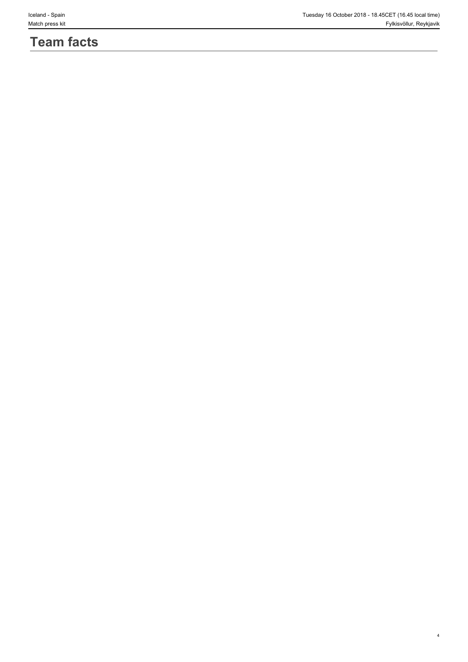# **Team facts**

4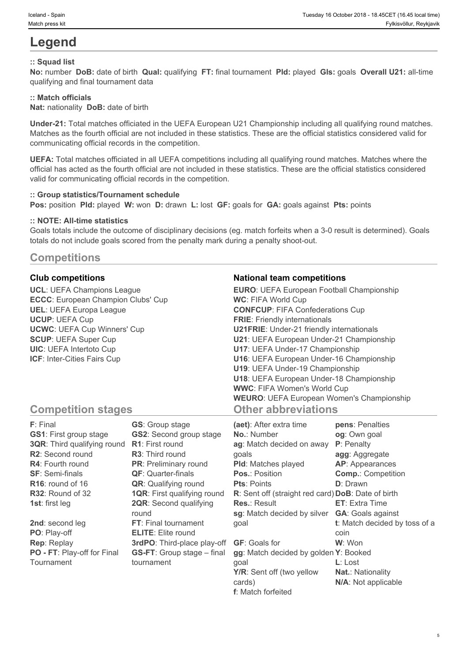# **Legend**

### **:: Squad list**

**No:** number **DoB:** date of birth **Qual:** qualifying **FT:** final tournament **Pld:** played **Gls:** goals **Overall U21:** all-time qualifying and final tournament data

### **:: Match officials**

**Nat:** nationality **DoB:** date of birth

**Under-21:** Total matches officiated in the UEFA European U21 Championship including all qualifying round matches. Matches as the fourth official are not included in these statistics. These are the official statistics considered valid for communicating official records in the competition.

**UEFA:** Total matches officiated in all UEFA competitions including all qualifying round matches. Matches where the official has acted as the fourth official are not included in these statistics. These are the official statistics considered valid for communicating official records in the competition.

#### **:: Group statistics/Tournament schedule**

**Pos:** position **Pld:** played **W:** won **D:** drawn **L:** lost **GF:** goals for **GA:** goals against **Pts:** points

#### **:: NOTE: All-time statistics**

Goals totals include the outcome of disciplinary decisions (eg. match forfeits when a 3-0 result is determined). Goals totals do not include goals scored from the penalty mark during a penalty shoot-out.

### **Competitions**

**UCL**: UEFA Champions League **ECCC**: European Champion Clubs' Cup **UEL**: UEFA Europa League **UCUP**: UEFA Cup **UCWC**: UEFA Cup Winners' Cup **SCUP**: UEFA Super Cup **UIC**: UEFA Intertoto Cup **ICF**: Inter-Cities Fairs Cup

#### **Club competitions National team competitions**

| <b>EURO:</b> UEFA European Football Championship |  |
|--------------------------------------------------|--|
| <b>WC: FIFA World Cup</b>                        |  |
| <b>CONFCUP: FIFA Confederations Cup</b>          |  |
| <b>FRIE:</b> Friendly internationals             |  |
| <b>U21FRIE:</b> Under-21 friendly internationals |  |
| U21: UEFA European Under-21 Championship         |  |
| U17: UEFA Under-17 Championship                  |  |
| U16: UEFA European Under-16 Championship         |  |
| U19: UEFA Under-19 Championship                  |  |
| U18: UEFA European Under-18 Championship         |  |
| <b>WWC: FIFA Women's World Cup</b>               |  |
| <b>WEURO:</b> UEFA European Women's Championship |  |
| <b>Other abbreviations</b>                       |  |

5

### **Competition stages**

| F: Final                           | <b>GS:</b> Group stage             | (aet): After extra time                            | pens: Penalties               |
|------------------------------------|------------------------------------|----------------------------------------------------|-------------------------------|
| <b>GS1: First group stage</b>      | <b>GS2:</b> Second group stage     | <b>No.: Number</b>                                 | og: Own goal                  |
| <b>3QR:</b> Third qualifying round | <b>R1:</b> First round             | ag: Match decided on away                          | P: Penalty                    |
| <b>R2:</b> Second round            | <b>R3:</b> Third round             | qoals                                              | agg: Aggregate                |
| <b>R4:</b> Fourth round            | <b>PR:</b> Preliminary round       | <b>PId:</b> Matches played                         | <b>AP:</b> Appearances        |
| <b>SF: Semi-finals</b>             | <b>QF:</b> Quarter-finals          | <b>Pos.: Position</b>                              | <b>Comp.: Competition</b>     |
| $R16$ : round of 16                | <b>QR:</b> Qualifying round        | <b>Pts: Points</b>                                 | <b>D</b> : Drawn              |
| R32: Round of 32                   | <b>1QR:</b> First qualifying round | R: Sent off (straight red card) DoB: Date of birth |                               |
| <b>1st:</b> first leg              | <b>2QR:</b> Second qualifying      | <b>Res.: Result</b>                                | <b>ET:</b> Extra Time         |
|                                    | round                              | sg: Match decided by silver                        | <b>GA: Goals against</b>      |
| 2nd: second leg                    | <b>FT:</b> Final tournament        | qoal                                               | t: Match decided by toss of a |
| PO: Play-off                       | <b>ELITE:</b> Elite round          |                                                    | coin                          |
| <b>Rep: Replay</b>                 | 3rdPO: Third-place play-off        | <b>GF:</b> Goals for                               | W: Won                        |
| PO - FT: Play-off for Final        | <b>GS-FT:</b> Group stage – final  | gg: Match decided by golden Y: Booked              |                               |
| Tournament                         | tournament                         | qoal                                               | $L:$ Lost                     |
|                                    |                                    | Y/R: Sent off (two yellow                          | <b>Nat.: Nationality</b>      |
|                                    |                                    | cards)                                             | N/A: Not applicable           |

**f**: Match forfeited